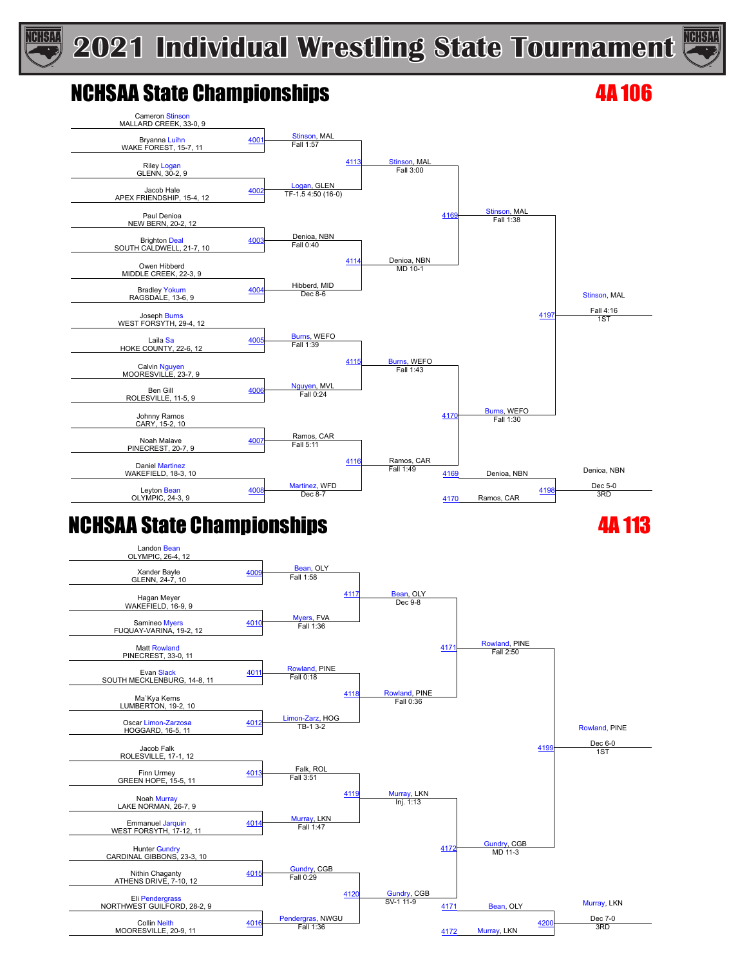





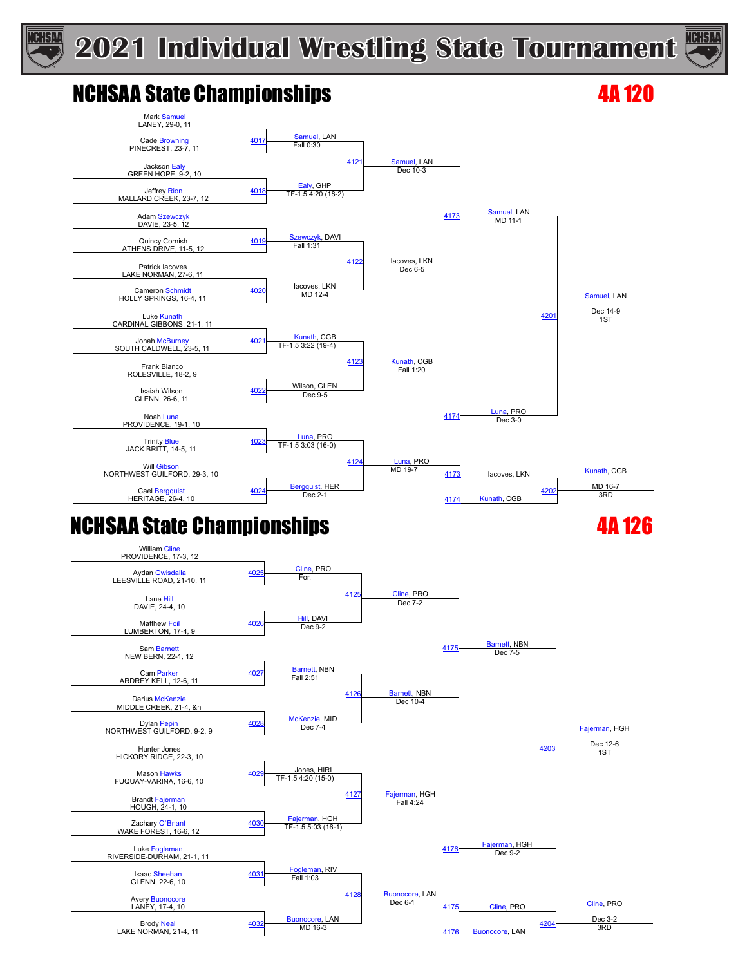





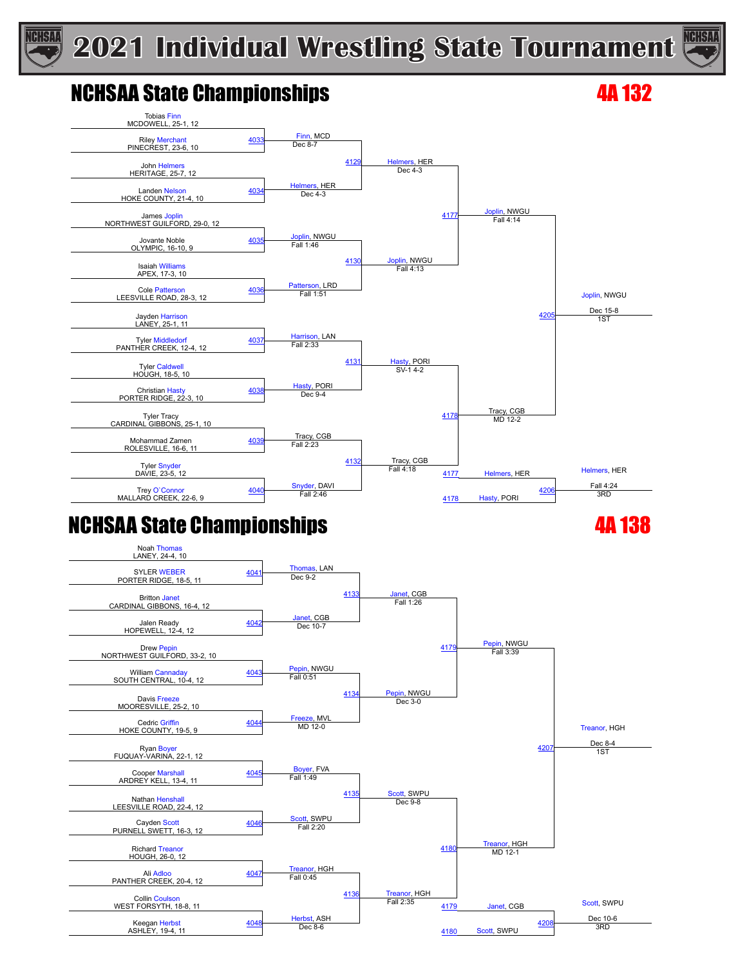





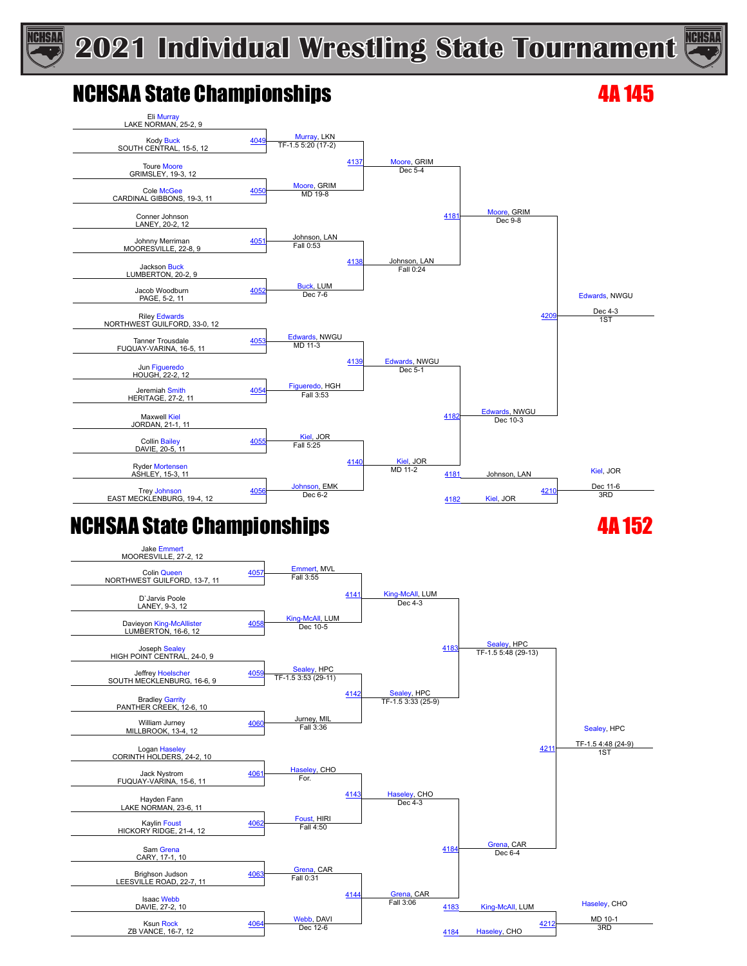# **2021 Individual Wrestling State Tournament**



#### NCHSAA State Championships **4A 145**



# NCHSAA State Championships **4A 152**

Jake <del>Emmert</del><br>MOORESVILLE, 27-2, 12 Emmert, MVL King-McAll, LUM ey, HPC Sealey, HPC TF-1.5 4:48 (24-9) Colin Queen NORTHWEST GUILFORD, 13-7, 11 <u>4057 Emmert,</u><br>Fall 3:55 D`Jarvis Poole **414** LANEY, 9-3, 12 , LUM Dec 4-3 Davieyon King-McAllister LUMBERTON, 16-6, 12 <u>4058 King-McAll</u>, L<br>Dec 10-5 Joseph Sealey 4183 HIGH POINT CENTRAL, 24-0, 9 y, HPC TF-1.5 5:48 (29-13) Jeffrey <del>Hoelscher</del><br>SOUTH MECKLENBURG, 16-6, 9 4059 TF-1.5 3:53 (29-11) Bradley Garrity **Bradley Sealey, HPC** Bradley Garrity **Bradley Garrity** PANTHER CREEK, 12-6, 10 Jurney, MIL TF-1.5 3:33 (25-9) 4211 William Jurney MILLBROOK, 13-4, 12 4060 Jurney, Mil Logan Haseley<br>CORINTH HOLDERS, 24-2, 10 Haseley, CHO Haseley, CHO Dec 4-3 1ST Jack Nystrom FUQUAY-VARINA, 15-6, 11 4061 **Hasele**<br>For. Hayden Fann **Album Communist State Communist State Advanturer** 1990 1991 1992 LAKE NORMAN, 23-6, 11 Foust, HIRI Grena, CAR Kaylin Foust HICKORY RIDGE, 21-4, 12 <u>4062 Foust, HIRE</u><br>Fall 4:50 Sam Grena 4184 CARY, 17-1, 10 Grena, CAR Dec 6-4 Brighson Judson LEESVILLE ROAD, 22-7, 11 4063 Fall 0:31 **1144** Grena, CAR Isaac Webb<br> **1414** Grena, CAR ISBN 6-8-414-5-5-414-5-414<br>
Fall 3:06 DAVIE, 27-2, 10 King-McAll, LUM Haseley, CHO Webb, DAVI MD 10-1 Fall 3:06 4183 Ksun <mark>Rock</mark><br>2B VANCE, 16-7, 12 406 4184 Haseley, CHO <sup>4212</sup> Dec 12-6 3RD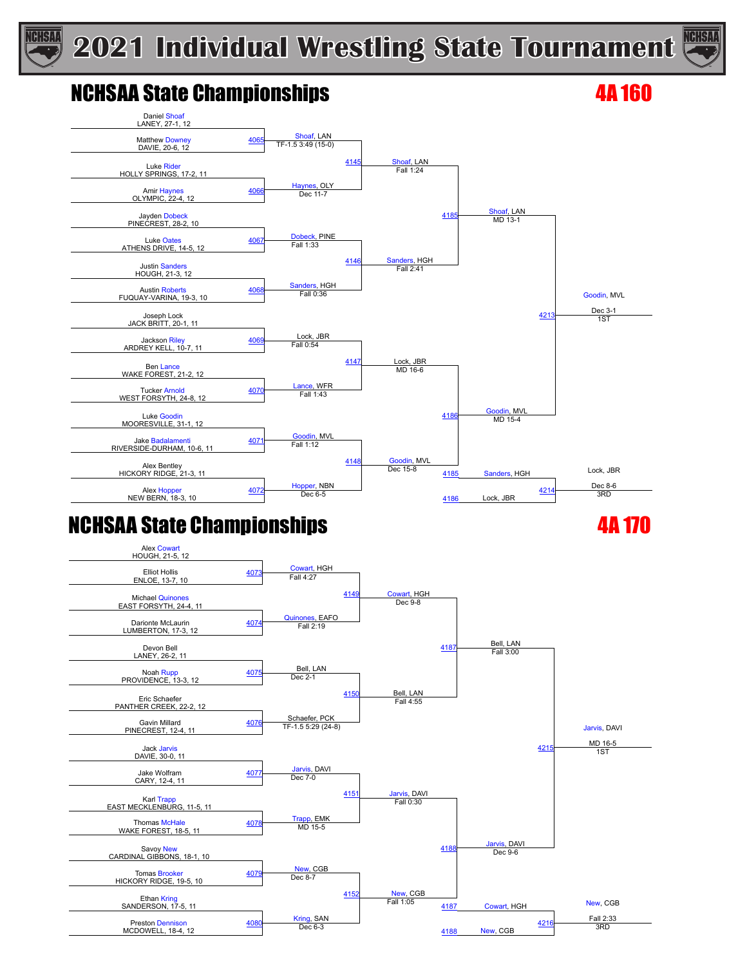





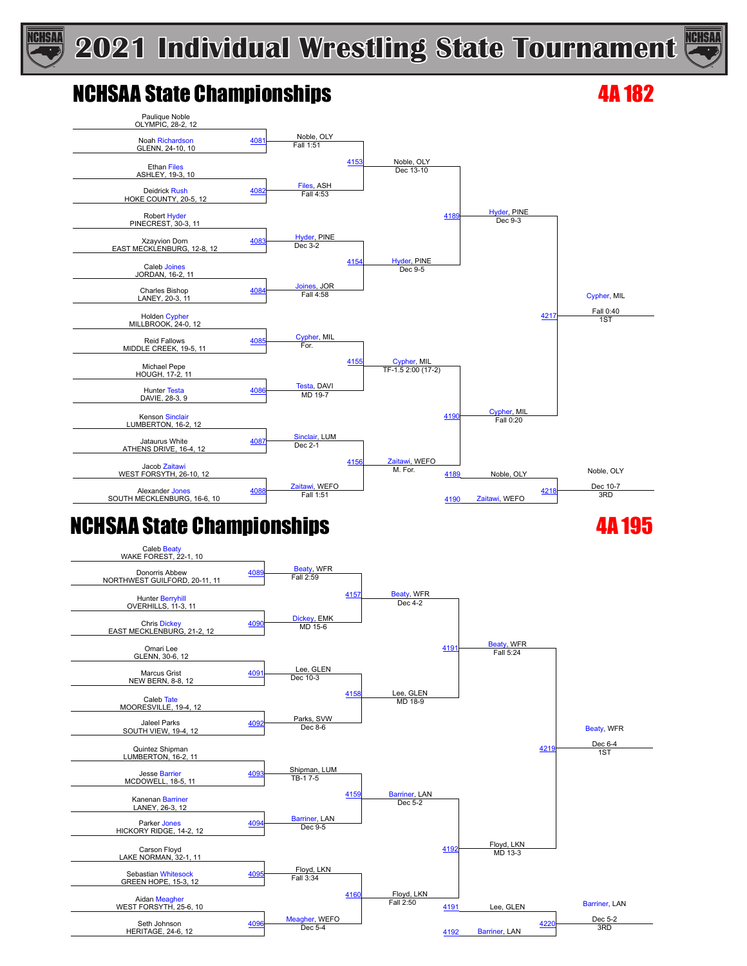